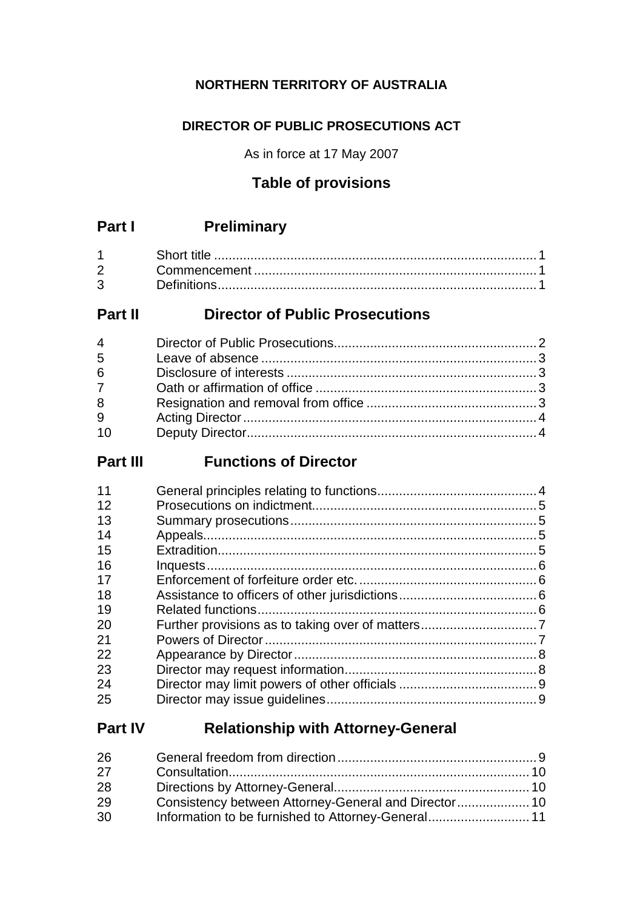## **NORTHERN TERRITORY OF AUSTRALIA**

## **DIRECTOR OF PUBLIC PROSECUTIONS ACT**

As in force at 17 May 2007

## **Table of provisions**

## **Part I Preliminary**

| $2 \left( \frac{1}{2} \right)$ |  |
|--------------------------------|--|
| 3 <sup>1</sup>                 |  |

## **Part II Director of Public Prosecutions**

| $4 \quad$       |  |
|-----------------|--|
| 5               |  |
| $6\overline{6}$ |  |
| $7^{\circ}$     |  |
| 8               |  |
| 9               |  |
| 10              |  |
|                 |  |

## **Part III Functions of Director**

| 11 |  |
|----|--|
| 12 |  |
| 13 |  |
| 14 |  |
| 15 |  |
| 16 |  |
| 17 |  |
| 18 |  |
| 19 |  |
| 20 |  |
| 21 |  |
| 22 |  |
| 23 |  |
| 24 |  |
| 25 |  |
|    |  |

## **Part IV Relationship with Attorney-General**

| 26 |  |
|----|--|
| 27 |  |
| 28 |  |
| 29 |  |
| 30 |  |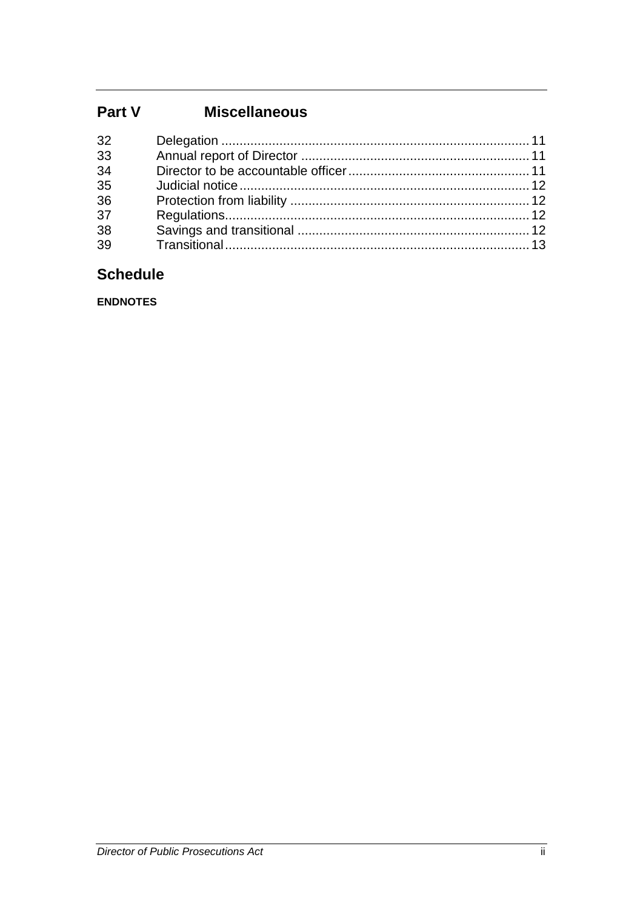#### Part V **Miscellaneous**

| 32 |  |
|----|--|
| 33 |  |
| 34 |  |
| 35 |  |
| 36 |  |
| 37 |  |
| 38 |  |
| 39 |  |

## **Schedule**

**ENDNOTES**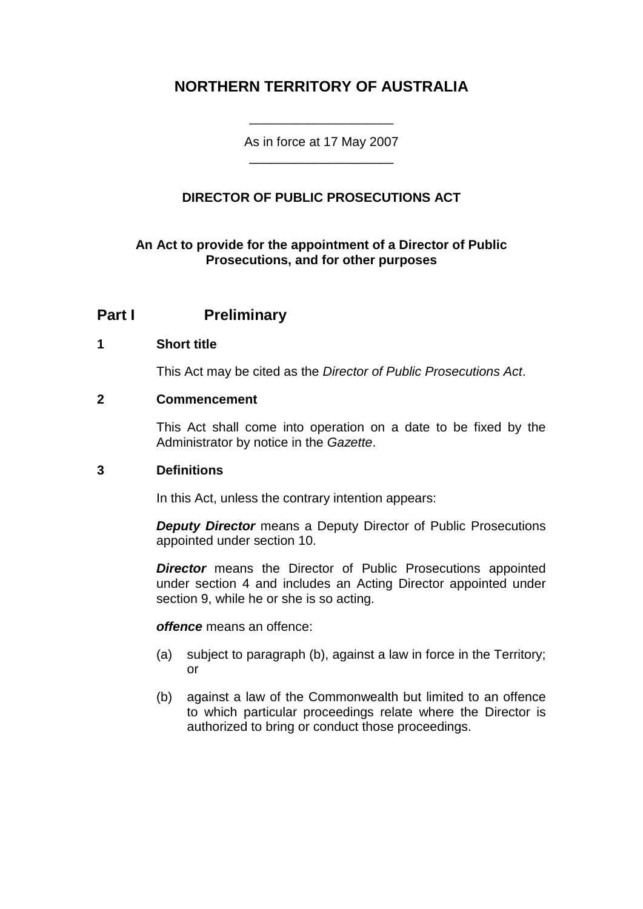## **NORTHERN TERRITORY OF AUSTRALIA**

As in force at 17 May 2007 \_\_\_\_\_\_\_\_\_\_\_\_\_\_\_\_\_\_\_\_

\_\_\_\_\_\_\_\_\_\_\_\_\_\_\_\_\_\_\_\_

### **DIRECTOR OF PUBLIC PROSECUTIONS ACT**

#### **An Act to provide for the appointment of a Director of Public Prosecutions, and for other purposes**

### **Part I Preliminary**

#### **1 Short title**

This Act may be cited as the *Director of Public Prosecutions Act*.

#### **2 Commencement**

This Act shall come into operation on a date to be fixed by the Administrator by notice in the *Gazette*.

#### **3 Definitions**

In this Act, unless the contrary intention appears:

*Deputy Director* means a Deputy Director of Public Prosecutions appointed under section 10.

**Director** means the Director of Public Prosecutions appointed under section 4 and includes an Acting Director appointed under section 9, while he or she is so acting.

#### *offence* means an offence:

- (a) subject to paragraph (b), against a law in force in the Territory; or
- (b) against a law of the Commonwealth but limited to an offence to which particular proceedings relate where the Director is authorized to bring or conduct those proceedings.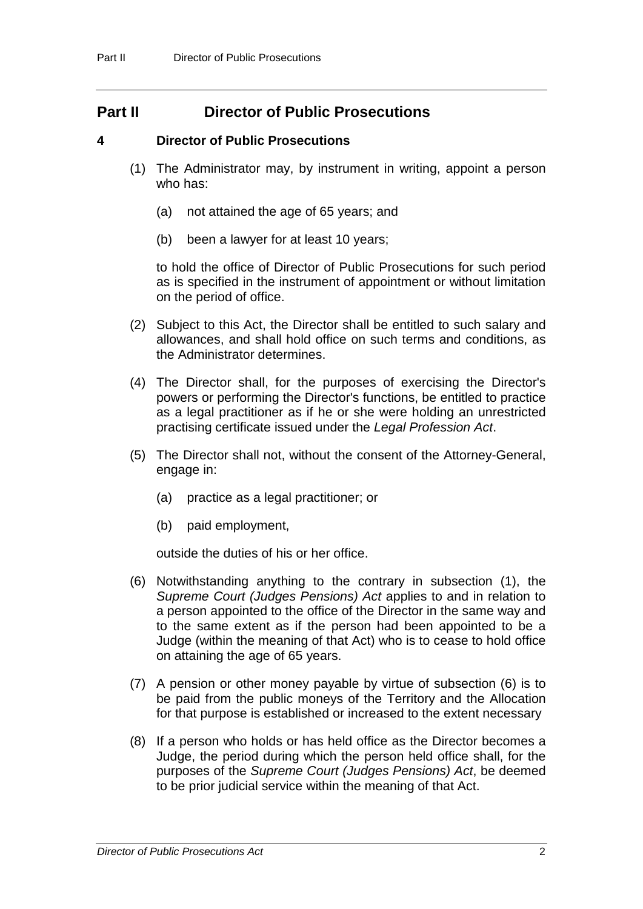## **Part II Director of Public Prosecutions**

#### **4 Director of Public Prosecutions**

- (1) The Administrator may, by instrument in writing, appoint a person who has:
	- (a) not attained the age of 65 years; and
	- (b) been a lawyer for at least 10 years;

to hold the office of Director of Public Prosecutions for such period as is specified in the instrument of appointment or without limitation on the period of office.

- (2) Subject to this Act, the Director shall be entitled to such salary and allowances, and shall hold office on such terms and conditions, as the Administrator determines.
- (4) The Director shall, for the purposes of exercising the Director's powers or performing the Director's functions, be entitled to practice as a legal practitioner as if he or she were holding an unrestricted practising certificate issued under the *Legal Profession Act*.
- (5) The Director shall not, without the consent of the Attorney-General, engage in:
	- (a) practice as a legal practitioner; or
	- (b) paid employment,

outside the duties of his or her office.

- (6) Notwithstanding anything to the contrary in subsection (1), the *Supreme Court (Judges Pensions) Act* applies to and in relation to a person appointed to the office of the Director in the same way and to the same extent as if the person had been appointed to be a Judge (within the meaning of that Act) who is to cease to hold office on attaining the age of 65 years.
- (7) A pension or other money payable by virtue of subsection (6) is to be paid from the public moneys of the Territory and the Allocation for that purpose is established or increased to the extent necessary
- (8) If a person who holds or has held office as the Director becomes a Judge, the period during which the person held office shall, for the purposes of the *Supreme Court (Judges Pensions) Act*, be deemed to be prior judicial service within the meaning of that Act.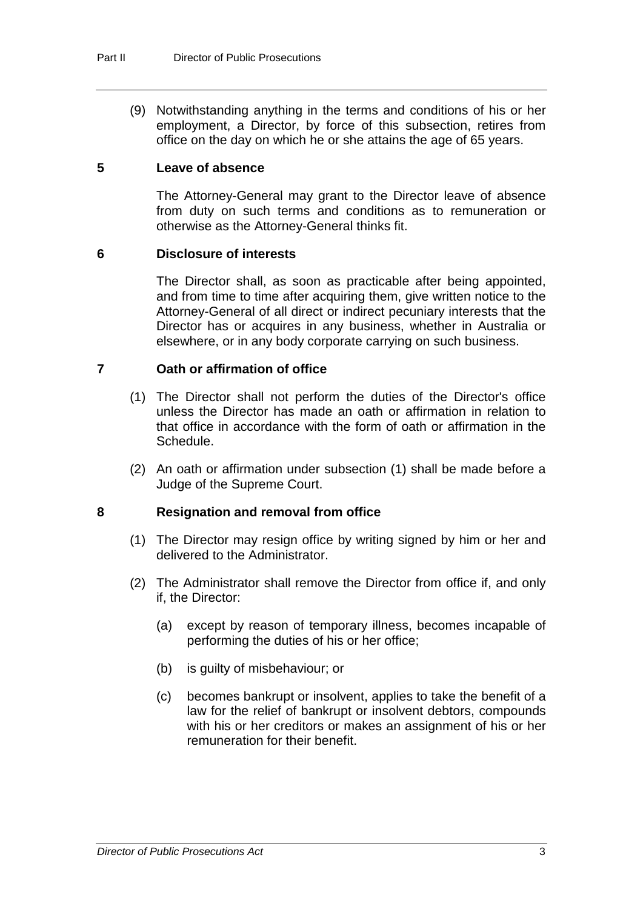(9) Notwithstanding anything in the terms and conditions of his or her employment, a Director, by force of this subsection, retires from office on the day on which he or she attains the age of 65 years.

#### **5 Leave of absence**

The Attorney-General may grant to the Director leave of absence from duty on such terms and conditions as to remuneration or otherwise as the Attorney-General thinks fit.

#### **6 Disclosure of interests**

The Director shall, as soon as practicable after being appointed, and from time to time after acquiring them, give written notice to the Attorney-General of all direct or indirect pecuniary interests that the Director has or acquires in any business, whether in Australia or elsewhere, or in any body corporate carrying on such business.

#### **7 Oath or affirmation of office**

- (1) The Director shall not perform the duties of the Director's office unless the Director has made an oath or affirmation in relation to that office in accordance with the form of oath or affirmation in the Schedule.
- (2) An oath or affirmation under subsection (1) shall be made before a Judge of the Supreme Court.

#### **8 Resignation and removal from office**

- (1) The Director may resign office by writing signed by him or her and delivered to the Administrator.
- (2) The Administrator shall remove the Director from office if, and only if, the Director:
	- (a) except by reason of temporary illness, becomes incapable of performing the duties of his or her office;
	- (b) is guilty of misbehaviour; or
	- (c) becomes bankrupt or insolvent, applies to take the benefit of a law for the relief of bankrupt or insolvent debtors, compounds with his or her creditors or makes an assignment of his or her remuneration for their benefit.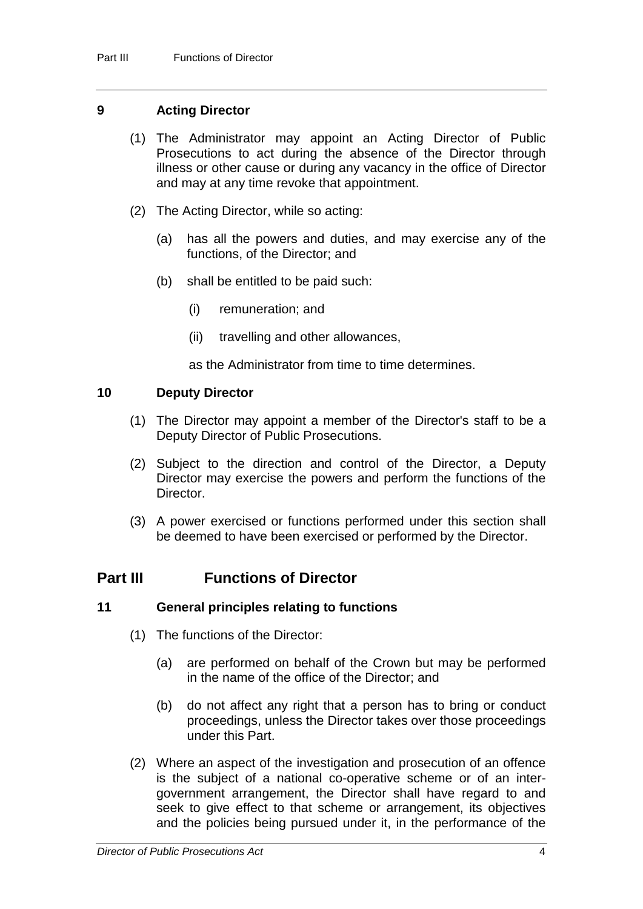#### **9 Acting Director**

- (1) The Administrator may appoint an Acting Director of Public Prosecutions to act during the absence of the Director through illness or other cause or during any vacancy in the office of Director and may at any time revoke that appointment.
- (2) The Acting Director, while so acting:
	- (a) has all the powers and duties, and may exercise any of the functions, of the Director; and
	- (b) shall be entitled to be paid such:
		- (i) remuneration; and
		- (ii) travelling and other allowances,

as the Administrator from time to time determines.

#### **10 Deputy Director**

- (1) The Director may appoint a member of the Director's staff to be a Deputy Director of Public Prosecutions.
- (2) Subject to the direction and control of the Director, a Deputy Director may exercise the powers and perform the functions of the Director.
- (3) A power exercised or functions performed under this section shall be deemed to have been exercised or performed by the Director.

#### **Part III Functions of Director**

#### **11 General principles relating to functions**

- (1) The functions of the Director:
	- (a) are performed on behalf of the Crown but may be performed in the name of the office of the Director; and
	- (b) do not affect any right that a person has to bring or conduct proceedings, unless the Director takes over those proceedings under this Part.
- (2) Where an aspect of the investigation and prosecution of an offence is the subject of a national co-operative scheme or of an intergovernment arrangement, the Director shall have regard to and seek to give effect to that scheme or arrangement, its objectives and the policies being pursued under it, in the performance of the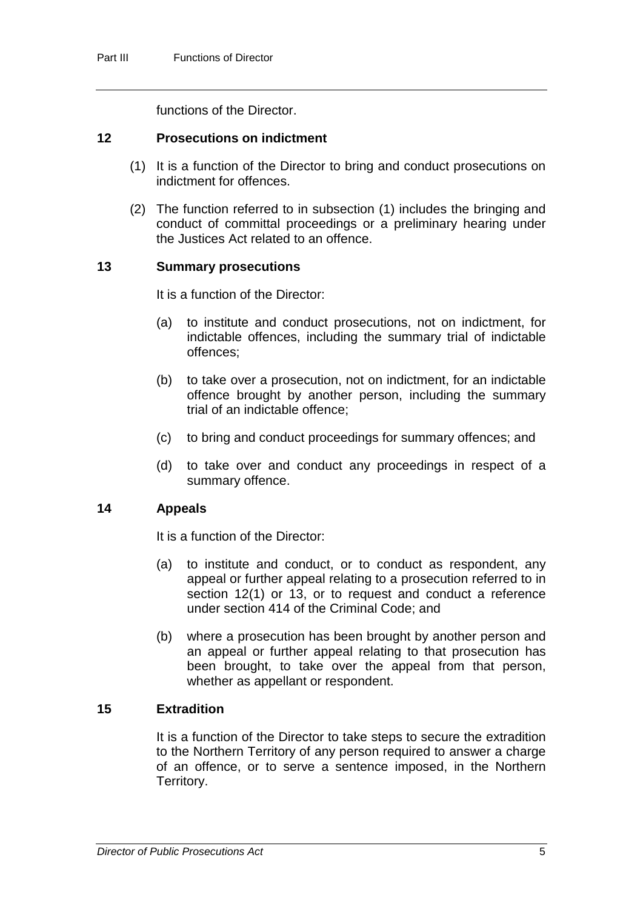functions of the Director.

#### **12 Prosecutions on indictment**

- (1) It is a function of the Director to bring and conduct prosecutions on indictment for offences.
- (2) The function referred to in subsection (1) includes the bringing and conduct of committal proceedings or a preliminary hearing under the Justices Act related to an offence.

#### **13 Summary prosecutions**

It is a function of the Director:

- (a) to institute and conduct prosecutions, not on indictment, for indictable offences, including the summary trial of indictable offences;
- (b) to take over a prosecution, not on indictment, for an indictable offence brought by another person, including the summary trial of an indictable offence;
- (c) to bring and conduct proceedings for summary offences; and
- (d) to take over and conduct any proceedings in respect of a summary offence.

#### **14 Appeals**

It is a function of the Director:

- (a) to institute and conduct, or to conduct as respondent, any appeal or further appeal relating to a prosecution referred to in section 12(1) or 13, or to request and conduct a reference under section 414 of the Criminal Code; and
- (b) where a prosecution has been brought by another person and an appeal or further appeal relating to that prosecution has been brought, to take over the appeal from that person, whether as appellant or respondent.

#### **15 Extradition**

It is a function of the Director to take steps to secure the extradition to the Northern Territory of any person required to answer a charge of an offence, or to serve a sentence imposed, in the Northern Territory.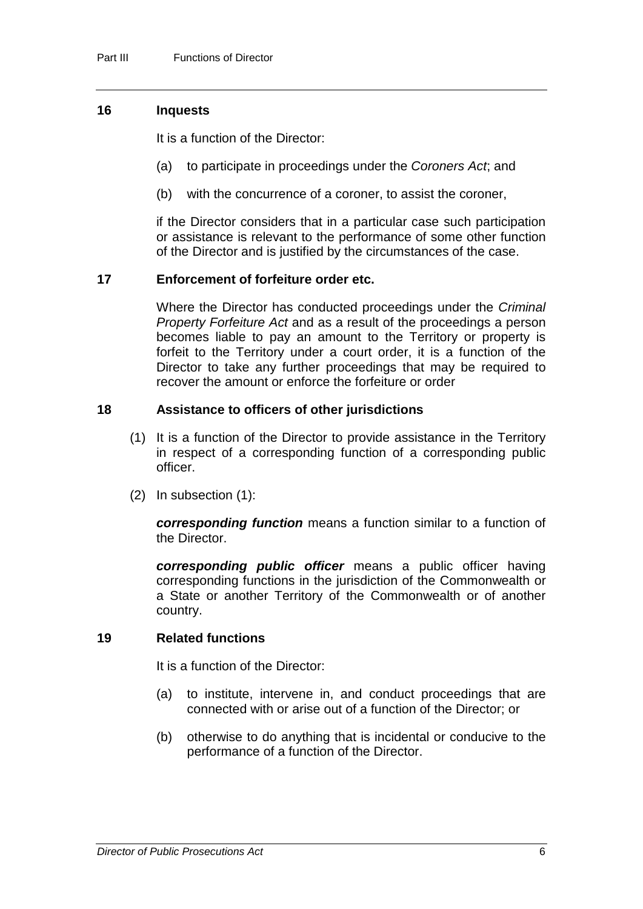#### **16 Inquests**

It is a function of the Director:

- (a) to participate in proceedings under the *Coroners Act*; and
- (b) with the concurrence of a coroner, to assist the coroner,

if the Director considers that in a particular case such participation or assistance is relevant to the performance of some other function of the Director and is justified by the circumstances of the case.

#### **17 Enforcement of forfeiture order etc.**

Where the Director has conducted proceedings under the *Criminal Property Forfeiture Act* and as a result of the proceedings a person becomes liable to pay an amount to the Territory or property is forfeit to the Territory under a court order, it is a function of the Director to take any further proceedings that may be required to recover the amount or enforce the forfeiture or order

#### **18 Assistance to officers of other jurisdictions**

- (1) It is a function of the Director to provide assistance in the Territory in respect of a corresponding function of a corresponding public officer.
- (2) In subsection (1):

*corresponding function* means a function similar to a function of the Director.

*corresponding public officer* means a public officer having corresponding functions in the jurisdiction of the Commonwealth or a State or another Territory of the Commonwealth or of another country.

#### **19 Related functions**

It is a function of the Director:

- (a) to institute, intervene in, and conduct proceedings that are connected with or arise out of a function of the Director; or
- (b) otherwise to do anything that is incidental or conducive to the performance of a function of the Director.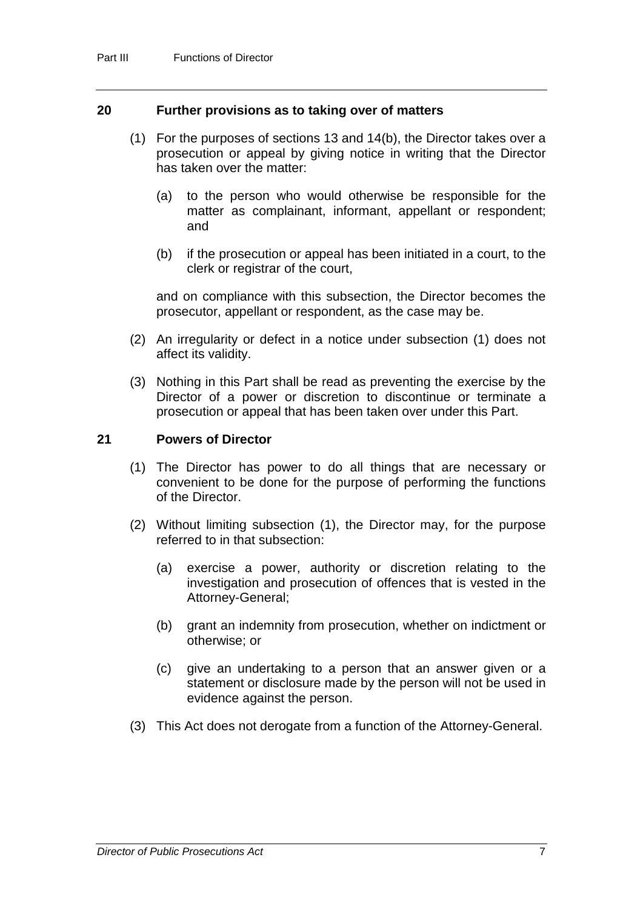#### **20 Further provisions as to taking over of matters**

- (1) For the purposes of sections 13 and 14(b), the Director takes over a prosecution or appeal by giving notice in writing that the Director has taken over the matter:
	- (a) to the person who would otherwise be responsible for the matter as complainant, informant, appellant or respondent; and
	- (b) if the prosecution or appeal has been initiated in a court, to the clerk or registrar of the court,

and on compliance with this subsection, the Director becomes the prosecutor, appellant or respondent, as the case may be.

- (2) An irregularity or defect in a notice under subsection (1) does not affect its validity.
- (3) Nothing in this Part shall be read as preventing the exercise by the Director of a power or discretion to discontinue or terminate a prosecution or appeal that has been taken over under this Part.

#### **21 Powers of Director**

- (1) The Director has power to do all things that are necessary or convenient to be done for the purpose of performing the functions of the Director.
- (2) Without limiting subsection (1), the Director may, for the purpose referred to in that subsection:
	- (a) exercise a power, authority or discretion relating to the investigation and prosecution of offences that is vested in the Attorney-General;
	- (b) grant an indemnity from prosecution, whether on indictment or otherwise; or
	- (c) give an undertaking to a person that an answer given or a statement or disclosure made by the person will not be used in evidence against the person.
- (3) This Act does not derogate from a function of the Attorney-General.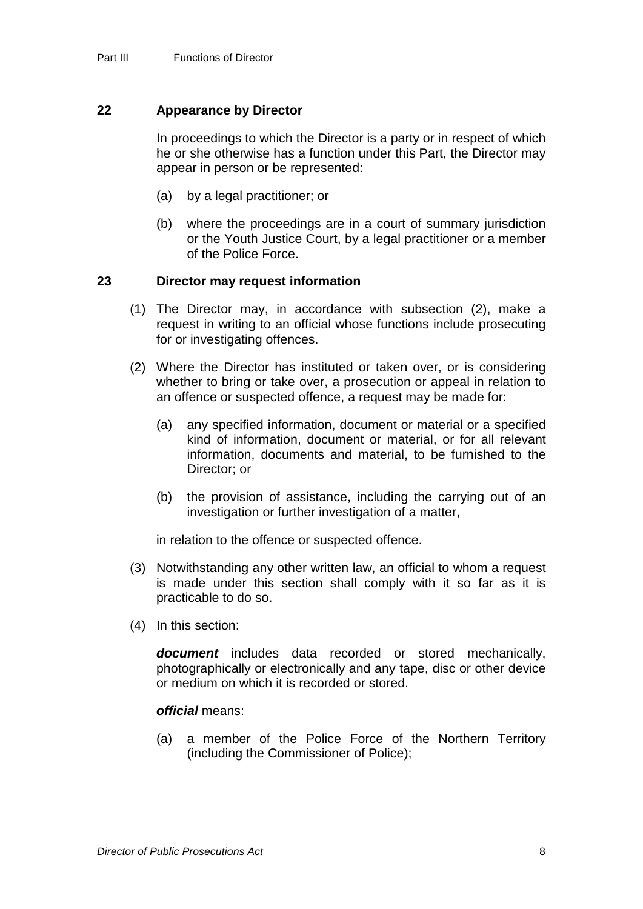#### **22 Appearance by Director**

In proceedings to which the Director is a party or in respect of which he or she otherwise has a function under this Part, the Director may appear in person or be represented:

- (a) by a legal practitioner; or
- (b) where the proceedings are in a court of summary jurisdiction or the Youth Justice Court, by a legal practitioner or a member of the Police Force.

#### **23 Director may request information**

- (1) The Director may, in accordance with subsection (2), make a request in writing to an official whose functions include prosecuting for or investigating offences.
- (2) Where the Director has instituted or taken over, or is considering whether to bring or take over, a prosecution or appeal in relation to an offence or suspected offence, a request may be made for:
	- (a) any specified information, document or material or a specified kind of information, document or material, or for all relevant information, documents and material, to be furnished to the Director; or
	- (b) the provision of assistance, including the carrying out of an investigation or further investigation of a matter,

in relation to the offence or suspected offence.

- (3) Notwithstanding any other written law, an official to whom a request is made under this section shall comply with it so far as it is practicable to do so.
- (4) In this section:

*document* includes data recorded or stored mechanically, photographically or electronically and any tape, disc or other device or medium on which it is recorded or stored.

#### *official* means:

(a) a member of the Police Force of the Northern Territory (including the Commissioner of Police);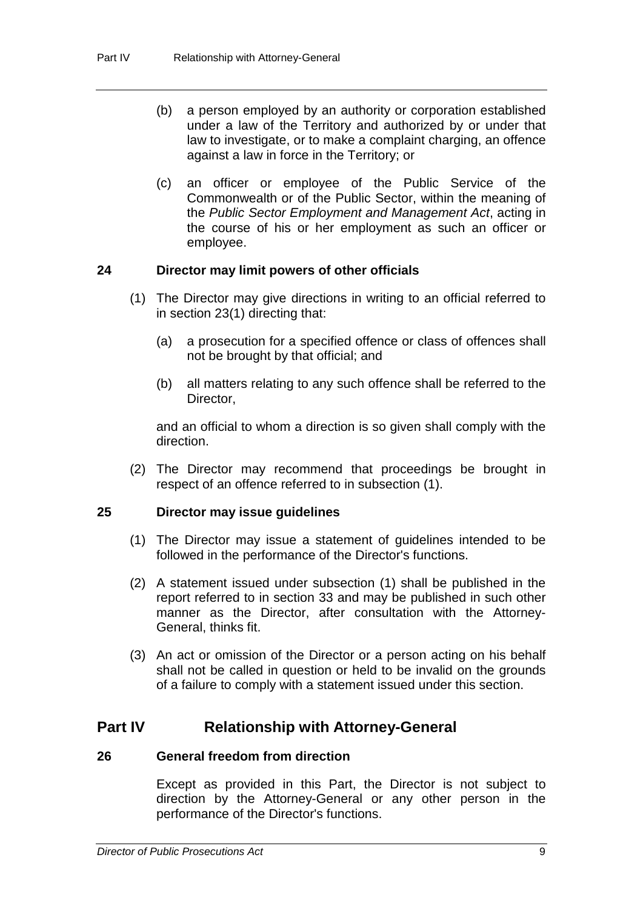- (b) a person employed by an authority or corporation established under a law of the Territory and authorized by or under that law to investigate, or to make a complaint charging, an offence against a law in force in the Territory; or
- (c) an officer or employee of the Public Service of the Commonwealth or of the Public Sector, within the meaning of the *Public Sector Employment and Management Act*, acting in the course of his or her employment as such an officer or employee.

#### **24 Director may limit powers of other officials**

- (1) The Director may give directions in writing to an official referred to in section 23(1) directing that:
	- (a) a prosecution for a specified offence or class of offences shall not be brought by that official; and
	- (b) all matters relating to any such offence shall be referred to the Director,

and an official to whom a direction is so given shall comply with the direction.

(2) The Director may recommend that proceedings be brought in respect of an offence referred to in subsection (1).

#### **25 Director may issue guidelines**

- (1) The Director may issue a statement of guidelines intended to be followed in the performance of the Director's functions.
- (2) A statement issued under subsection (1) shall be published in the report referred to in section 33 and may be published in such other manner as the Director, after consultation with the Attorney-General, thinks fit.
- (3) An act or omission of the Director or a person acting on his behalf shall not be called in question or held to be invalid on the grounds of a failure to comply with a statement issued under this section.

#### **Part IV Relationship with Attorney-General**

#### **26 General freedom from direction**

Except as provided in this Part, the Director is not subject to direction by the Attorney-General or any other person in the performance of the Director's functions.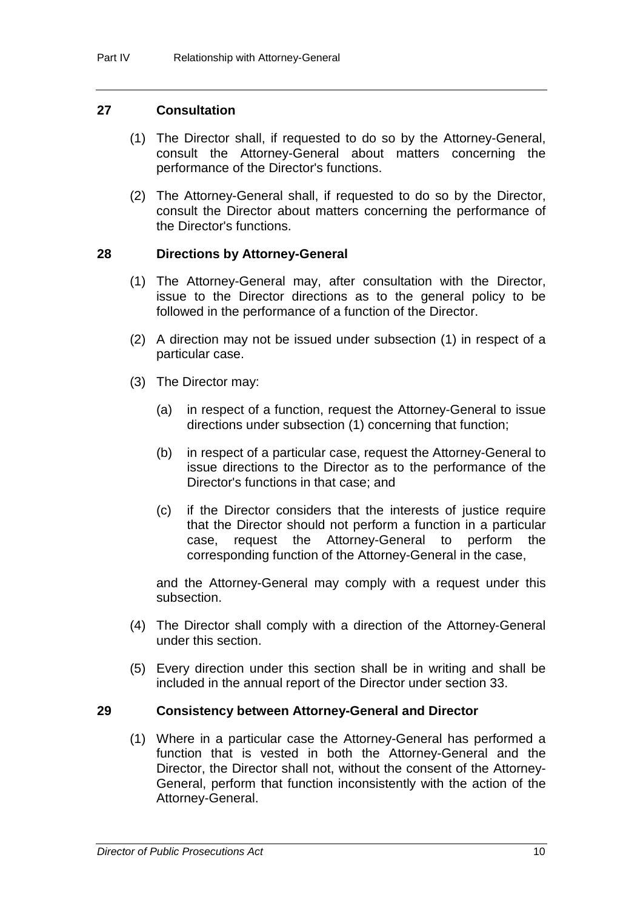#### **27 Consultation**

- (1) The Director shall, if requested to do so by the Attorney-General, consult the Attorney-General about matters concerning the performance of the Director's functions.
- (2) The Attorney-General shall, if requested to do so by the Director, consult the Director about matters concerning the performance of the Director's functions.

#### **28 Directions by Attorney-General**

- (1) The Attorney-General may, after consultation with the Director, issue to the Director directions as to the general policy to be followed in the performance of a function of the Director.
- (2) A direction may not be issued under subsection (1) in respect of a particular case.
- (3) The Director may:
	- (a) in respect of a function, request the Attorney-General to issue directions under subsection (1) concerning that function;
	- (b) in respect of a particular case, request the Attorney-General to issue directions to the Director as to the performance of the Director's functions in that case; and
	- (c) if the Director considers that the interests of justice require that the Director should not perform a function in a particular case, request the Attorney-General to perform the corresponding function of the Attorney-General in the case,

and the Attorney-General may comply with a request under this subsection.

- (4) The Director shall comply with a direction of the Attorney-General under this section.
- (5) Every direction under this section shall be in writing and shall be included in the annual report of the Director under section 33.

#### **29 Consistency between Attorney-General and Director**

(1) Where in a particular case the Attorney-General has performed a function that is vested in both the Attorney-General and the Director, the Director shall not, without the consent of the Attorney-General, perform that function inconsistently with the action of the Attorney-General.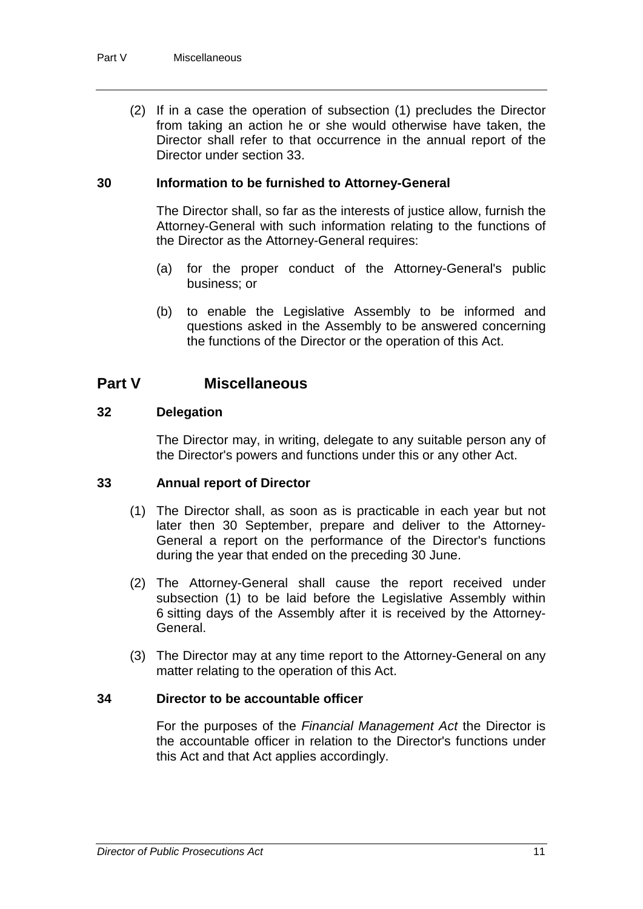(2) If in a case the operation of subsection (1) precludes the Director from taking an action he or she would otherwise have taken, the Director shall refer to that occurrence in the annual report of the Director under section 33.

#### **30 Information to be furnished to Attorney-General**

The Director shall, so far as the interests of justice allow, furnish the Attorney-General with such information relating to the functions of the Director as the Attorney-General requires:

- (a) for the proper conduct of the Attorney-General's public business; or
- (b) to enable the Legislative Assembly to be informed and questions asked in the Assembly to be answered concerning the functions of the Director or the operation of this Act.

### **Part V Miscellaneous**

#### **32 Delegation**

The Director may, in writing, delegate to any suitable person any of the Director's powers and functions under this or any other Act.

#### **33 Annual report of Director**

- (1) The Director shall, as soon as is practicable in each year but not later then 30 September, prepare and deliver to the Attorney-General a report on the performance of the Director's functions during the year that ended on the preceding 30 June.
- (2) The Attorney-General shall cause the report received under subsection (1) to be laid before the Legislative Assembly within 6 sitting days of the Assembly after it is received by the Attorney-General.
- (3) The Director may at any time report to the Attorney-General on any matter relating to the operation of this Act.

#### **34 Director to be accountable officer**

For the purposes of the *Financial Management Act* the Director is the accountable officer in relation to the Director's functions under this Act and that Act applies accordingly.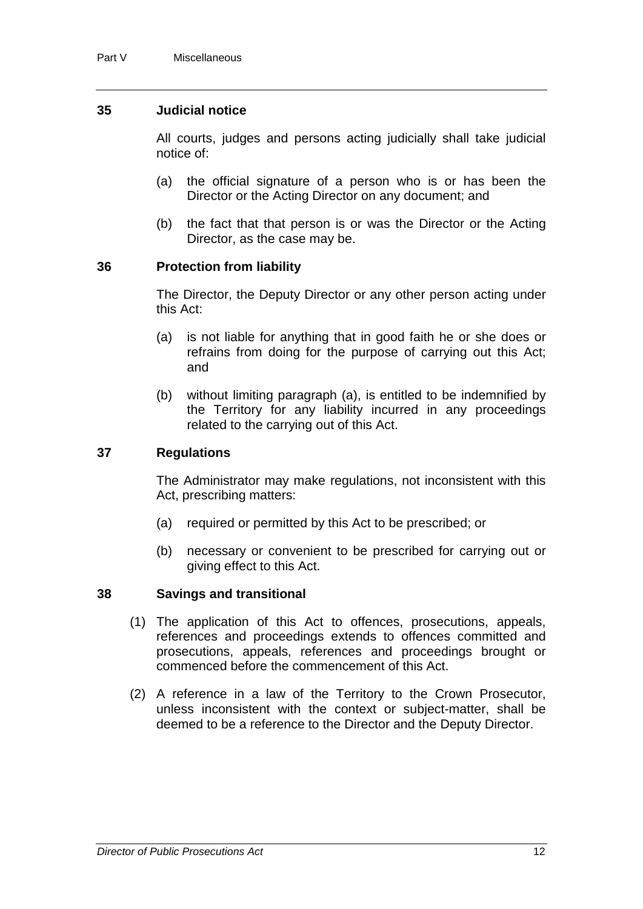#### **35 Judicial notice**

All courts, judges and persons acting judicially shall take judicial notice of:

- (a) the official signature of a person who is or has been the Director or the Acting Director on any document; and
- (b) the fact that that person is or was the Director or the Acting Director, as the case may be.

#### **36 Protection from liability**

The Director, the Deputy Director or any other person acting under this Act:

- (a) is not liable for anything that in good faith he or she does or refrains from doing for the purpose of carrying out this Act; and
- (b) without limiting paragraph (a), is entitled to be indemnified by the Territory for any liability incurred in any proceedings related to the carrying out of this Act.

#### **37 Regulations**

The Administrator may make regulations, not inconsistent with this Act, prescribing matters:

- (a) required or permitted by this Act to be prescribed; or
- (b) necessary or convenient to be prescribed for carrying out or giving effect to this Act.

#### **38 Savings and transitional**

- (1) The application of this Act to offences, prosecutions, appeals, references and proceedings extends to offences committed and prosecutions, appeals, references and proceedings brought or commenced before the commencement of this Act.
- (2) A reference in a law of the Territory to the Crown Prosecutor, unless inconsistent with the context or subject-matter, shall be deemed to be a reference to the Director and the Deputy Director.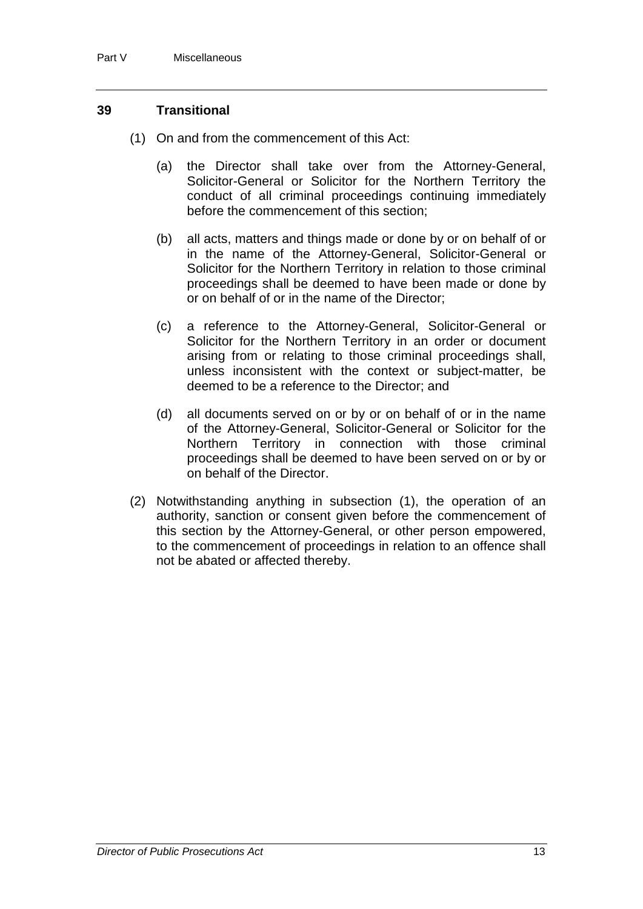#### **39 Transitional**

- (1) On and from the commencement of this Act:
	- (a) the Director shall take over from the Attorney-General, Solicitor-General or Solicitor for the Northern Territory the conduct of all criminal proceedings continuing immediately before the commencement of this section;
	- (b) all acts, matters and things made or done by or on behalf of or in the name of the Attorney-General, Solicitor-General or Solicitor for the Northern Territory in relation to those criminal proceedings shall be deemed to have been made or done by or on behalf of or in the name of the Director;
	- (c) a reference to the Attorney-General, Solicitor-General or Solicitor for the Northern Territory in an order or document arising from or relating to those criminal proceedings shall, unless inconsistent with the context or subject-matter, be deemed to be a reference to the Director; and
	- (d) all documents served on or by or on behalf of or in the name of the Attorney-General, Solicitor-General or Solicitor for the Northern Territory in connection with those criminal proceedings shall be deemed to have been served on or by or on behalf of the Director.
- (2) Notwithstanding anything in subsection (1), the operation of an authority, sanction or consent given before the commencement of this section by the Attorney-General, or other person empowered, to the commencement of proceedings in relation to an offence shall not be abated or affected thereby.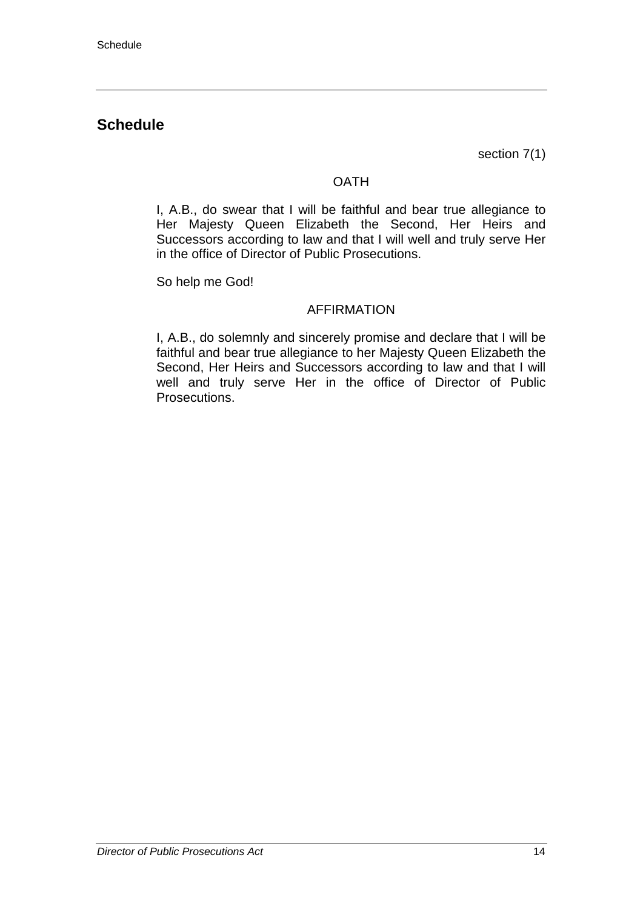## **Schedule**

section 7(1)

#### OATH

I, A.B., do swear that I will be faithful and bear true allegiance to Her Majesty Queen Elizabeth the Second, Her Heirs and Successors according to law and that I will well and truly serve Her in the office of Director of Public Prosecutions.

So help me God!

#### AFFIRMATION

I, A.B., do solemnly and sincerely promise and declare that I will be faithful and bear true allegiance to her Majesty Queen Elizabeth the Second, Her Heirs and Successors according to law and that I will well and truly serve Her in the office of Director of Public Prosecutions.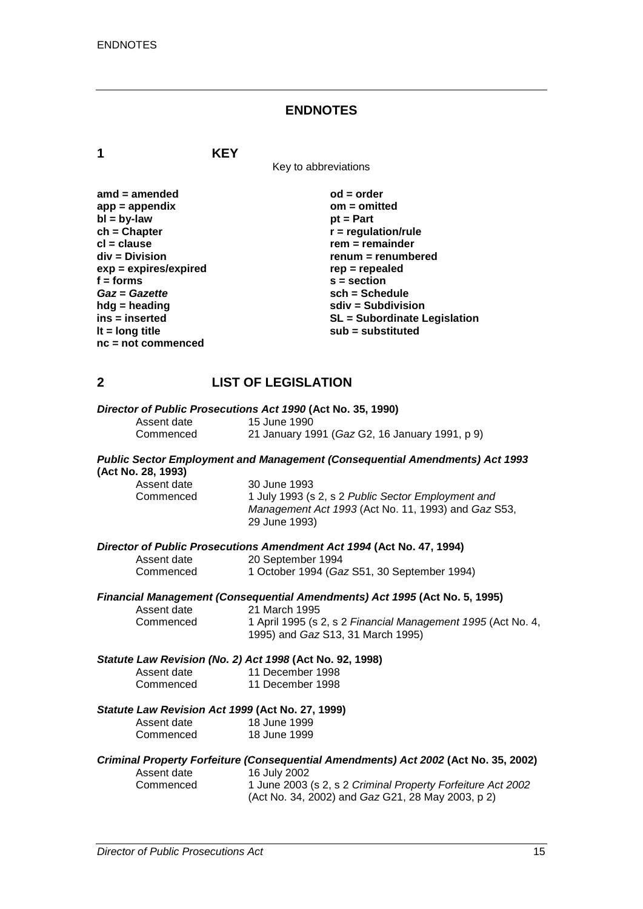#### **ENDNOTES**

**1 KEY**

Key to abbreviations

| $amd = amended$         | $od = order$                        |
|-------------------------|-------------------------------------|
| $app = appendix$        | $om = omitted$                      |
| $bl = by-law$           | $pt = Part$                         |
| $ch = Chapter$          | $r =$ regulation/rule               |
| $cl = clause$           | $rem = remainder$                   |
| div = Division          | renum = renumbered                  |
| $exp = expires/expired$ | rep = repealed                      |
| $f =$ forms             | $s = section$                       |
| Gaz = Gazette           | $sch = Schedule$                    |
| $h dg =$ heading        | $sdiv = Subdivision$                |
| ins = inserted          | <b>SL</b> = Subordinate Legislation |
| It = $long$ title       | $sub =$ substituted                 |
| $nc = not$ commenced    |                                     |

#### **2 LIST OF LEGISLATION**

| Director of Public Prosecutions Act 1990 (Act No. 35, 1990) |  |  |
|-------------------------------------------------------------|--|--|
|                                                             |  |  |

| Assent date | 15 June 1990                                   |
|-------------|------------------------------------------------|
| Commenced   | 21 January 1991 (Gaz G2, 16 January 1991, p 9) |

## *Public Sector Employment and Management (Consequential Amendments) Act 1993* **(Act No. 28, 1993)**

| Assent date | 30 June 1993                                        |
|-------------|-----------------------------------------------------|
| Commenced   | 1 July 1993 (s 2, s 2 Public Sector Employment and  |
|             | Management Act 1993 (Act No. 11, 1993) and Gaz S53, |
|             | 29 June 1993)                                       |

| Director of Public Prosecutions Amendment Act 1994 (Act No. 47, 1994) |  |  |  |
|-----------------------------------------------------------------------|--|--|--|
|-----------------------------------------------------------------------|--|--|--|

| Assent date<br>Commenced | 20 September 1994<br>1 October 1994 (Gaz S51, 30 September 1994) |  |  |
|--------------------------|------------------------------------------------------------------|--|--|
|                          |                                                                  |  |  |

## *Financial Management (Consequential Amendments) Act 1995* **(Act No. 5, 1995)**

Assent date 21 March 1995<br>Commenced 1 April 1995 (s) Commenced 1 April 1995 (s 2, s 2 *Financial Management 1995* (Act No. 4, 1995) and *Gaz* S13, 31 March 1995)

#### *Statute Law Revision (No. 2) Act 1998* **(Act No. 92, 1998)**

| Assent date | 11 December 1998 |
|-------------|------------------|
| Commenced   | 11 December 1998 |

#### *Statute Law Revision Act 1999* **(Act No. 27, 1999)**

| Assent date | 18 June 1999 |
|-------------|--------------|
| Commenced   | 18 June 1999 |

## *Criminal Property Forfeiture (Consequential Amendments) Act 2002* **(Act No. 35, 2002)**

| Assent date | 16 July 2002                                                |
|-------------|-------------------------------------------------------------|
| Commenced   | 1 June 2003 (s 2, s 2 Criminal Property Forfeiture Act 2002 |
|             | (Act No. 34, 2002) and Gaz G21, 28 May 2003, p 2)           |